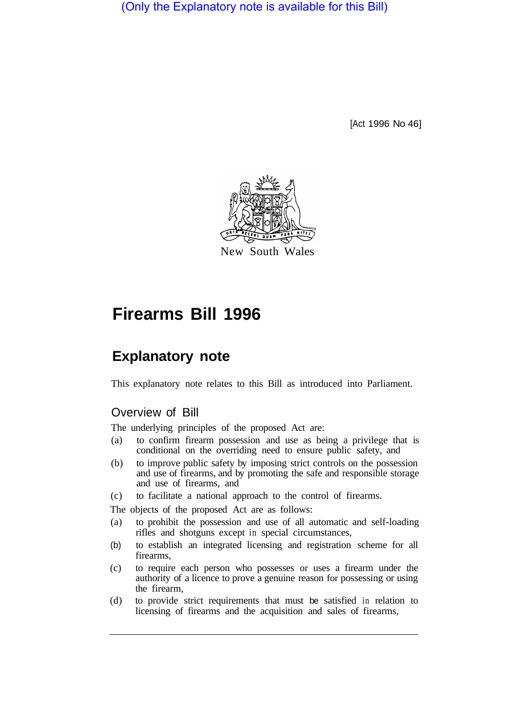(Only the Explanatory note is available for this Bill)

[Act 1996 No 46]



# **Firearms Bill 1996**

# **Explanatory note**

This explanatory note relates to this Bill as introduced into Parliament.

#### Overview of Bill

The underlying principles of the proposed Act are:

- (a) to confirm firearm possession and use as being a privilege that is conditional on the overriding need to ensure public safety, and
- (b) to improve public safety by imposing strict controls on the possession and use of firearms, and by promoting the safe and responsible storage and use of firearms, and
- (c) to facilitate a national approach to the control of firearms.

The objects of the proposed Act are as follows:

- (a) to prohibit the possession and use of all automatic and self-loading rifles and shotguns except in special circumstances,
- (b) to establish an integrated licensing and registration scheme for all firearms,
- (c) to require each person who possesses or uses a firearm under the authority of a licence to prove a genuine reason for possessing or using the firearm,
- (d) to provide strict requirements that must be satisfied in relation to licensing of firearms and the acquisition and sales of firearms,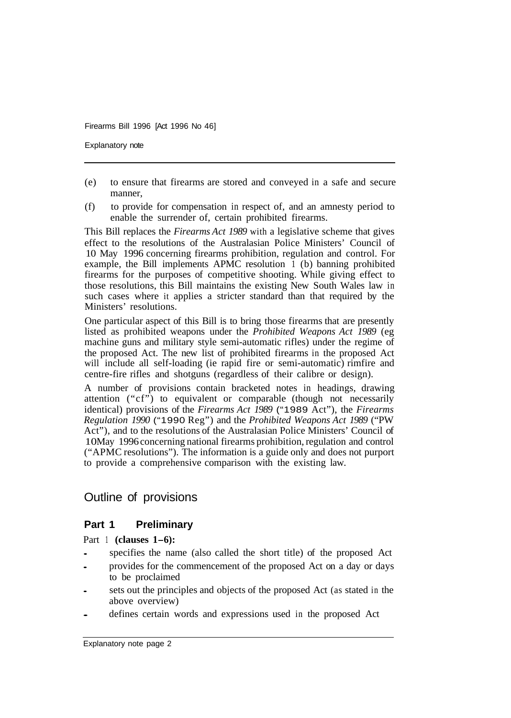Explanatory note

- (e) to ensure that firearms are stored and conveyed in a safe and secure manner,
- (f) to provide for compensation in respect of, and an amnesty period to enable the surrender of, certain prohibited firearms.

This Bill replaces the *Firearms Act 1989* with a legislative scheme that gives effect to the resolutions of the Australasian Police Ministers' Council of 10 May 1996 concerning firearms prohibition, regulation and control. For example, the Bill implements APMC resolution 1 (b) banning prohibited firearms for the purposes of competitive shooting. While giving effect to those resolutions, this Bill maintains the existing New South Wales law in such cases where it applies a stricter standard than that required by the Ministers' resolutions.

One particular aspect of this Bill is to bring those firearms that are presently listed as prohibited weapons under the *Prohibited Weapons Act 1989* (eg machine guns and military style semi-automatic rifles) under the regime of the proposed Act. The new list of prohibited firearms in the proposed Act will include all self-loading (ie rapid fire or semi-automatic) rimfire and centre-fire rifles and shotguns (regardless of their calibre or design).

A number of provisions contain bracketed notes in headings, drawing attention ("cf") to equivalent or comparable (though not necessarily identical) provisions of the *Firearms Act 1989* ("1989 Act"), the *Firearms Regulation 1990* ("1990 Reg") and the *Prohibited Weapons Act 1989* ("PW Act"), and to the resolutions of the Australasian Police Ministers' Council of 10 May 1996 concerning national firearms prohibition, regulation and control ("APMC resolutions"). The information is a guide only and does not purport to provide a comprehensive comparison with the existing law.

# Outline of provisions

#### **Part 1 Preliminary**

Part 1 **(clauses 1-6):** 

- specifies the name (also called the short title) of the proposed Act
- provides for the commencement of the proposed Act on a day or days to be proclaimed
- sets out the principles and objects of the proposed Act (as stated in the above overview)
- defines certain words and expressions used in the proposed Act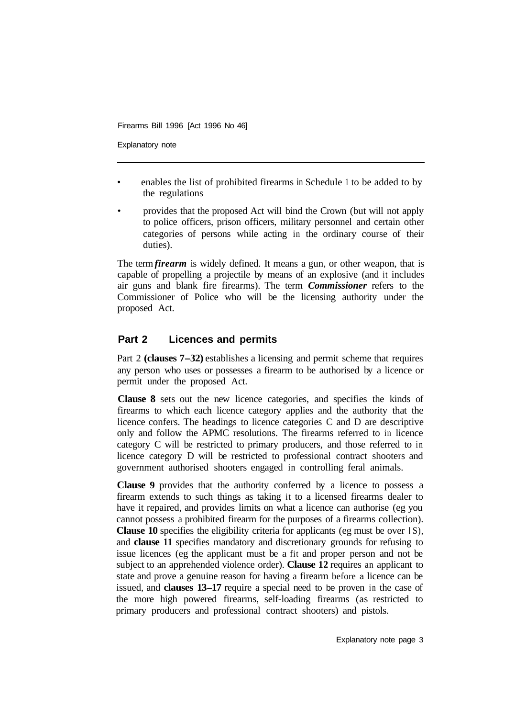Explanatory note

- enables the list of prohibited firearms in Schedule 1 to be added to by the regulations
- provides that the proposed Act will bind the Crown (but will not apply to police officers, prison officers, military personnel and certain other categories of persons while acting in the ordinary course of their duties).

The term *firearm* is widely defined. It means a gun, or other weapon, that is capable of propelling a projectile by means of an explosive (and it includes air guns and blank fire firearms). The term *Commissioner* refers to the Commissioner of Police who will be the licensing authority under the proposed Act.

#### **Part 2 Licences and permits**

Part 2 **(clauses 7-32)** establishes a licensing and permit scheme that requires any person who uses or possesses a firearm to be authorised by a licence or permit under the proposed Act.

**Clause 8** sets out the new licence categories, and specifies the kinds of firearms to which each licence category applies and the authority that the licence confers. The headings to licence categories C and D are descriptive only and follow the APMC resolutions. The firearms referred to in licence category C will be restricted to primary producers, and those referred to in licence category D will be restricted to professional contract shooters and government authorised shooters engaged in controlling feral animals.

**Clause 9** provides that the authority conferred by a licence to possess a firearm extends to such things as taking it to a licensed firearms dealer to have it repaired, and provides limits on what a licence can authorise (eg you cannot possess a prohibited firearm for the purposes of a firearms collection). **Clause 10** specifies the eligibility criteria for applicants (eg must be over IS), and **clause 11** specifies mandatory and discretionary grounds for refusing to issue licences (eg the applicant must be a fit and proper person and not be subject to an apprehended violence order). **Clause 12** requires an applicant to state and prove a genuine reason for having a firearm before a licence can be issued, and **clauses 13-17** require a special need to be proven in the case of the more high powered firearms, self-loading firearms (as restricted to primary producers and professional contract shooters) and pistols.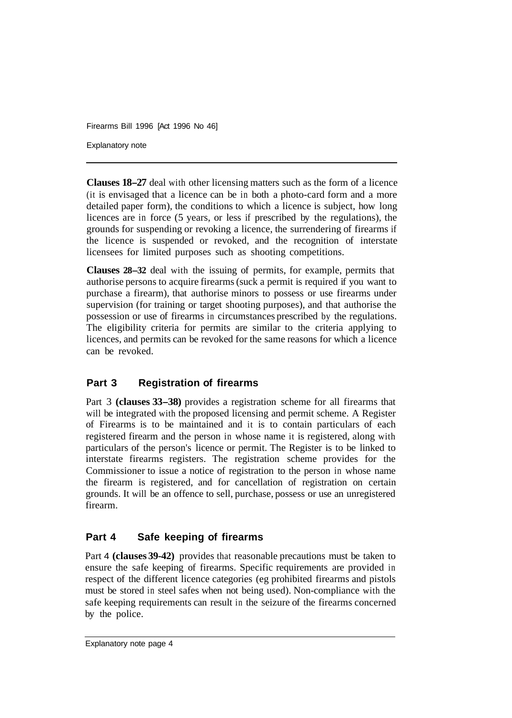Explanatory note

**Clauses 18-27** deal with other licensing matters such as the form of a licence (it is envisaged that a licence can be in both a photo-card form and a more detailed paper form), the conditions to which a licence is subject, how long licences are in force (5 years, or less if prescribed by the regulations), the grounds for suspending or revoking a licence, the surrendering of firearms if the licence is suspended or revoked, and the recognition of interstate licensees for limited purposes such as shooting competitions.

**Clauses 28-32** deal with the issuing of permits, for example, permits that authorise persons to acquire firearms (suck a permit is required if you want to purchase a firearm), that authorise minors to possess or use firearms under supervision (for training or target shooting purposes), and that authorise the possession or use of firearms in circumstances prescribed by the regulations. The eligibility criteria for permits are similar to the criteria applying to licences, and permits can be revoked for the same reasons for which a licence can be revoked.

#### **Part 3 Registration of firearms**

Part 3 **(clauses 33-38)** provides a registration scheme for all firearms that will be integrated with the proposed licensing and permit scheme. A Register of Firearms is to be maintained and it is to contain particulars of each registered firearm and the person in whose name it is registered, along with particulars of the person's licence or permit. The Register is to be linked to interstate firearms registers. The registration scheme provides for the Commissioner to issue a notice of registration to the person in whose name the firearm is registered, and for cancellation of registration on certain grounds. It will be an offence to sell, purchase, possess or use an unregistered firearm.

#### **Part 4 Safe keeping of firearms**

Part 4 **(clauses 39-42)** provides that reasonable precautions must be taken to ensure the safe keeping of firearms. Specific requirements are provided in respect of the different licence categories (eg prohibited firearms and pistols must be stored in steel safes when not being used). Non-compliance with the safe keeping requirements can result in the seizure of the firearms concerned by the police.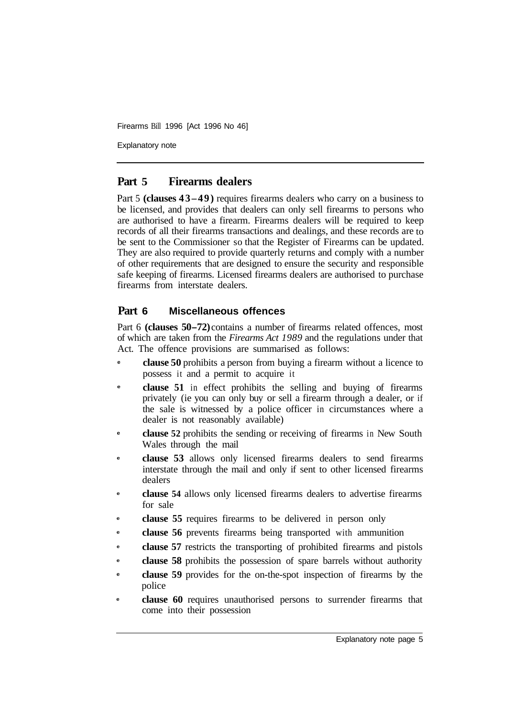Explanatory note

#### **Part 5 Firearms dealers**

Part 5 **(clauses 43–49)** requires firearms dealers who carry on a business to be licensed, and provides that dealers can only sell firearms to persons who are authorised to have a firearm. Firearms dealers will be required to keep records of all their firearms transactions and dealings, and these records are to be sent to the Commissioner so that the Register of Firearms can be updated. They are also required to provide quarterly returns and comply with a number of other requirements that are designed to ensure the security and responsible safe keeping of firearms. Licensed firearms dealers are authorised to purchase firearms from interstate dealers.

#### **Part 6 Miscellaneous offences**

Part 6 **(clauses 50–72)** contains a number of firearms related offences, most of which are taken from the *Firearms Act 1989* and the regulations under that Act. The offence provisions are summarised as follows:

- **e clause 50** prohibits a person from buying a firearm without a licence to possess it and a permit to acquire it
- **e clause 51** in effect prohibits the selling and buying of firearms privately (ie you can only buy or sell a firearm through a dealer, or if the sale is witnessed by a police officer in circumstances where a dealer is not reasonably available)
- **e clause 52** prohibits the sending or receiving of firearms in New South Wales through the mail
- **e clause 53** allows only licensed firearms dealers to send firearms interstate through the mail and only if sent to other licensed firearms dealers
- **e clause 54** allows only licensed firearms dealers to advertise firearms for sale
- **e clause 55** requires firearms to be delivered in person only
- **e clause 56** prevents firearms being transported with ammunition
- **e clause 57** restricts the transporting of prohibited firearms and pistols
- **e clause 58** prohibits the possession of spare barrels without authority
- **e clause 59** provides for the on-the-spot inspection of firearms by the police
- **e clause 60** requires unauthorised persons to surrender firearms that come into their possession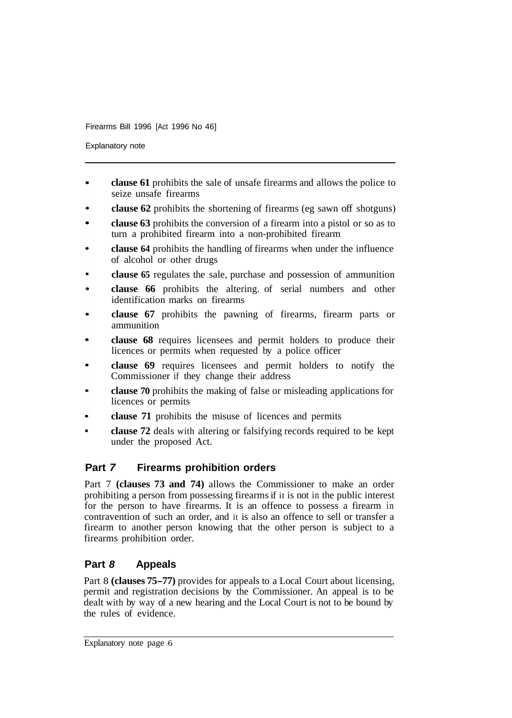Explanatory note

- **clause 61** prohibits the sale of unsafe firearms and allows the police to seize unsafe firearms
- **clause 62** prohibits the shortening of firearms (eg sawn off shotguns)
- **clause 63** prohibits the conversion of a firearm into a pistol or so as to turn a prohibited firearm into a non-prohibited firearm
- **clause 64** prohibits the handling of firearms when under the influence of alcohol or other drugs
- **clause 65** regulates the sale, purchase and possession of ammunition
- **clause 66** prohibits the altering. of serial numbers and other identification marks on firearms
- **clause 67** prohibits the pawning of firearms, firearm parts or ammunition
- **clause 68** requires licensees and permit holders to produce their licences or permits when requested by a police officer
- **clause 69** requires licensees and permit holders to notify the Commissioner if they change their address
- **clause 70** prohibits the making of false or misleading applications for licences or permits
- **clause 71** prohibits the misuse of licences and permits
- **clause 72** deals with altering or falsifying records required to be kept under the proposed Act.

# **Part** *7* **Firearms prohibition orders**

Part 7 **(clauses 73 and 74)** allows the Commissioner to make an order prohibiting a person from possessing firearms if it is not in the public interest for the person to have firearms. It is an offence to possess a firearm in contravention of such an order, and it is also an offence to sell or transfer a firearm to another person knowing that the other person is subject to a firearms prohibition order.

# **Part** *8* **Appeals**

Part 8 **(clauses 75-77)** provides for appeals to a Local Court about licensing, permit and registration decisions by the Commissioner. An appeal is to be dealt with by way of a new hearing and the Local Court is not to be bound by the rules of evidence.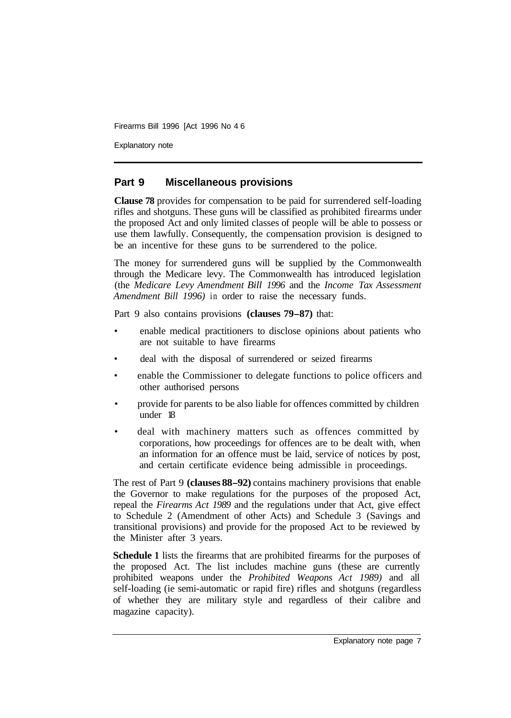Explanatory note

#### **Part 9 Miscellaneous provisions**

**Clause 78** provides for compensation to be paid for surrendered self-loading rifles and shotguns. These guns will be classified as prohibited firearms under the proposed Act and only limited classes of people will be able to possess or use them lawfully. Consequently, the compensation provision is designed to be an incentive for these guns to be surrendered to the police.

The money for surrendered guns will be supplied by the Commonwealth through the Medicare levy. The Commonwealth has introduced legislation (the *Medicare Levy Amendment Bill 1996* and the *Income Tax Assessment Amendment Bill 1996)* in order to raise the necessary funds.

Part 9 also contains provisions **(clauses 79-87)** that:

- enable medical practitioners to disclose opinions about patients who are not suitable to have firearms
- deal with the disposal of surrendered or seized firearms
- enable the Commissioner to delegate functions to police officers and other authorised persons
- provide for parents to be also liable for offences committed by children under 18
- deal with machinery matters such as offences committed by corporations, how proceedings for offences are to be dealt with, when an information for an offence must be laid, service of notices by post, and certain certificate evidence being admissible in proceedings.

The rest of Part 9 **(clauses 88-92)** contains machinery provisions that enable the Governor to make regulations for the purposes of the proposed Act, repeal the *Firearms Act 1989* and the regulations under that Act, give effect to Schedule 2 (Amendment of other Acts) and Schedule 3 (Savings and transitional provisions) and provide for the proposed Act to be reviewed by the Minister after 3 years.

**Schedule 1** lists the firearms that are prohibited firearms for the purposes of the proposed Act. The list includes machine guns (these are currently prohibited weapons under the *Prohibited Weapons Act 1989)* and all self-loading (ie semi-automatic or rapid fire) rifles and shotguns (regardless of whether they are military style and regardless of their calibre and magazine capacity).